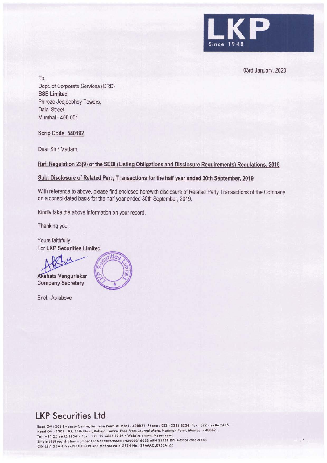

03rd January, 2020

To, Dept. of Corporate Services (CRD) **BSE Limited**  Phiroze Jeejeebhoy Towers, Dalal Street, Mumbai - 400 001

## **Scrip Code: 540192**

Dear Sir/ Madam,

**Ref: Regulation 23(9) of the SEBI (Listing Obligations and Disclosure Requirements) Regulations, 2015** 

### **Sub: Disclosure of Related Party Transactions for the half year ended 30th September, 2019**

With reference to above, please find enclosed herewith disclosure of Related Party Transactions of the Company on a consolidated basis for the half year ended 30th September, 2019.

Kindly take the above information on your record.

Thanking you,

Yours faithfully, For **LKP Securities Limited** 

**shata Vengurlekar** 

**Company Secretary** 

Encl.: As above



# **LKP Securities Ltd.**

Regd Off: 203 Embassy Centre, Nariman Point Mumbai - 400021. Phone: 022 - 2282 8234, Fax: 022 - 2284 2415 Head Off : 1303 - 04, 13th Floor, Raheja Centre, Free Press Journal Marg, Nariman Point, Mumbai - 400021 Tel.:+91 22 6635 1234 • Fax : +91 22 6635 1249 • Website : www.lkpsec.com, Single SEBI registration number for NSE/BSE/MSEI: INZ000216033 ARN 31751 DPIN-CDSL-206-2003 CIN L67120MH1994PLC080039 and Maharashtra GSTN No. 27AAACL0963A1ZZ